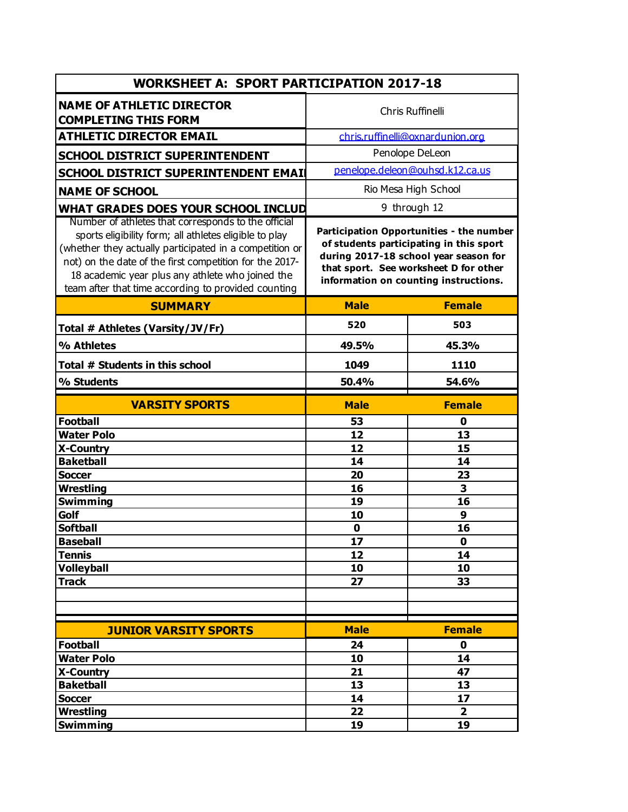| <b>WORKSHEET A: SPORT PARTICIPATION 2017-18</b>                                                                                                                                                                                                                                                                                                                                       |                                                                                                                                                                                                                |                  |  |  |
|---------------------------------------------------------------------------------------------------------------------------------------------------------------------------------------------------------------------------------------------------------------------------------------------------------------------------------------------------------------------------------------|----------------------------------------------------------------------------------------------------------------------------------------------------------------------------------------------------------------|------------------|--|--|
| <b>NAME OF ATHLETIC DIRECTOR</b><br><b>COMPLETING THIS FORM</b>                                                                                                                                                                                                                                                                                                                       | Chris Ruffinelli                                                                                                                                                                                               |                  |  |  |
| <b>ATHLETIC DIRECTOR EMAIL</b>                                                                                                                                                                                                                                                                                                                                                        | chris.ruffinelli@oxnardunion.org                                                                                                                                                                               |                  |  |  |
| <b>SCHOOL DISTRICT SUPERINTENDENT</b>                                                                                                                                                                                                                                                                                                                                                 | Penolope DeLeon                                                                                                                                                                                                |                  |  |  |
| SCHOOL DISTRICT SUPERINTENDENT EMAIL                                                                                                                                                                                                                                                                                                                                                  | penelope.deleon@ouhsd.k12.ca.us                                                                                                                                                                                |                  |  |  |
| <b>NAME OF SCHOOL</b>                                                                                                                                                                                                                                                                                                                                                                 | Rio Mesa High School                                                                                                                                                                                           |                  |  |  |
|                                                                                                                                                                                                                                                                                                                                                                                       | 9 through 12                                                                                                                                                                                                   |                  |  |  |
| WHAT GRADES DOES YOUR SCHOOL INCLUD<br>Number of athletes that corresponds to the official<br>sports eligibility form; all athletes eligible to play<br>(whether they actually participated in a competition or<br>not) on the date of the first competition for the 2017-<br>18 academic year plus any athlete who joined the<br>team after that time according to provided counting | Participation Opportunities - the number<br>of students participating in this sport<br>during 2017-18 school year season for<br>that sport. See worksheet D for other<br>information on counting instructions. |                  |  |  |
| <b>SUMMARY</b>                                                                                                                                                                                                                                                                                                                                                                        | <b>Male</b>                                                                                                                                                                                                    | <b>Female</b>    |  |  |
| Total # Athletes (Varsity/JV/Fr)                                                                                                                                                                                                                                                                                                                                                      | 520                                                                                                                                                                                                            | 503              |  |  |
| % Athletes                                                                                                                                                                                                                                                                                                                                                                            | 49.5%                                                                                                                                                                                                          | 45.3%            |  |  |
| Total # Students in this school                                                                                                                                                                                                                                                                                                                                                       | 1049                                                                                                                                                                                                           | 1110             |  |  |
| % Students                                                                                                                                                                                                                                                                                                                                                                            | 50.4%                                                                                                                                                                                                          | 54.6%            |  |  |
| <b>VARSITY SPORTS</b>                                                                                                                                                                                                                                                                                                                                                                 | <b>Male</b>                                                                                                                                                                                                    | <b>Female</b>    |  |  |
| <b>Football</b>                                                                                                                                                                                                                                                                                                                                                                       | 53                                                                                                                                                                                                             | 0                |  |  |
| <b>Water Polo</b>                                                                                                                                                                                                                                                                                                                                                                     | 12                                                                                                                                                                                                             | 13               |  |  |
| <b>X-Country</b><br><b>Baketball</b>                                                                                                                                                                                                                                                                                                                                                  | 12<br>14                                                                                                                                                                                                       | 15<br>14         |  |  |
| <b>Soccer</b>                                                                                                                                                                                                                                                                                                                                                                         | 20                                                                                                                                                                                                             | 23               |  |  |
| <b>Wrestling</b>                                                                                                                                                                                                                                                                                                                                                                      | 16                                                                                                                                                                                                             | 3                |  |  |
| <b>Swimming</b>                                                                                                                                                                                                                                                                                                                                                                       | 19                                                                                                                                                                                                             | 16               |  |  |
| Golf                                                                                                                                                                                                                                                                                                                                                                                  | 10                                                                                                                                                                                                             | $\boldsymbol{9}$ |  |  |
| <b>Softball</b>                                                                                                                                                                                                                                                                                                                                                                       | $\mathbf 0$                                                                                                                                                                                                    | 16               |  |  |
| <b>Baseball</b>                                                                                                                                                                                                                                                                                                                                                                       | 17                                                                                                                                                                                                             | $\mathbf 0$      |  |  |
| <b>Tennis</b>                                                                                                                                                                                                                                                                                                                                                                         | 12                                                                                                                                                                                                             | 14               |  |  |
| <b>Volleyball</b>                                                                                                                                                                                                                                                                                                                                                                     | 10                                                                                                                                                                                                             | 10               |  |  |
| <b>Track</b>                                                                                                                                                                                                                                                                                                                                                                          | 27                                                                                                                                                                                                             | 33               |  |  |
|                                                                                                                                                                                                                                                                                                                                                                                       |                                                                                                                                                                                                                |                  |  |  |
|                                                                                                                                                                                                                                                                                                                                                                                       |                                                                                                                                                                                                                |                  |  |  |
| <b>JUNIOR VARSITY SPORTS</b>                                                                                                                                                                                                                                                                                                                                                          | <b>Male</b>                                                                                                                                                                                                    | <b>Female</b>    |  |  |
| <b>Football</b>                                                                                                                                                                                                                                                                                                                                                                       | 24                                                                                                                                                                                                             | $\mathbf 0$      |  |  |
| <b>Water Polo</b>                                                                                                                                                                                                                                                                                                                                                                     | 10                                                                                                                                                                                                             | 14               |  |  |
| X-Country                                                                                                                                                                                                                                                                                                                                                                             | 21                                                                                                                                                                                                             | 47               |  |  |
| <b>Baketball</b>                                                                                                                                                                                                                                                                                                                                                                      | 13                                                                                                                                                                                                             | 13               |  |  |
| <b>Soccer</b>                                                                                                                                                                                                                                                                                                                                                                         | 14                                                                                                                                                                                                             | 17               |  |  |
| Wrestling                                                                                                                                                                                                                                                                                                                                                                             | 22                                                                                                                                                                                                             | $\overline{2}$   |  |  |
| <b>Swimming</b>                                                                                                                                                                                                                                                                                                                                                                       | 19                                                                                                                                                                                                             | 19               |  |  |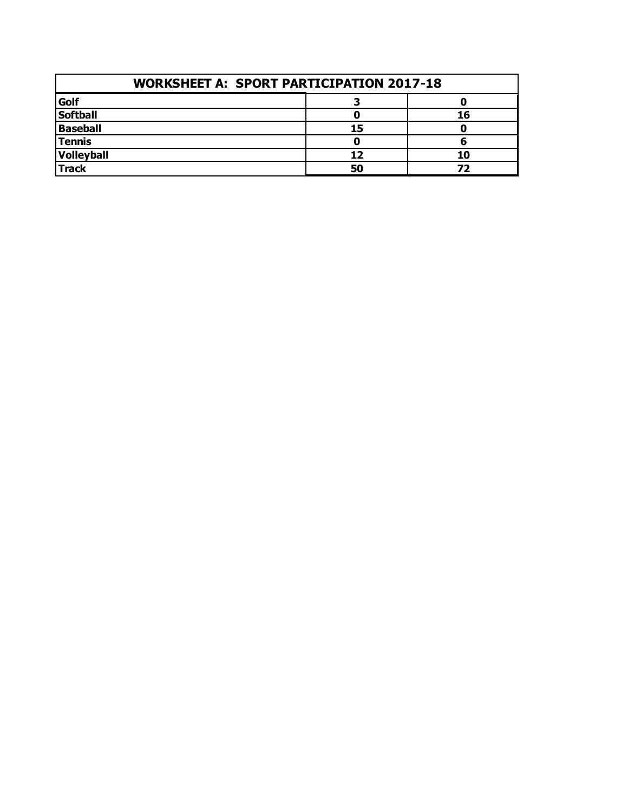| <b>WORKSHEET A: SPORT PARTICIPATION 2017-18</b> |    |    |  |  |
|-------------------------------------------------|----|----|--|--|
| Golf                                            |    |    |  |  |
| <b>Softball</b>                                 |    | 16 |  |  |
| <b>Baseball</b>                                 | 15 |    |  |  |
| Tennis                                          |    |    |  |  |
| Volleyball                                      | 12 | 10 |  |  |
| <b>Track</b>                                    | 50 | 77 |  |  |